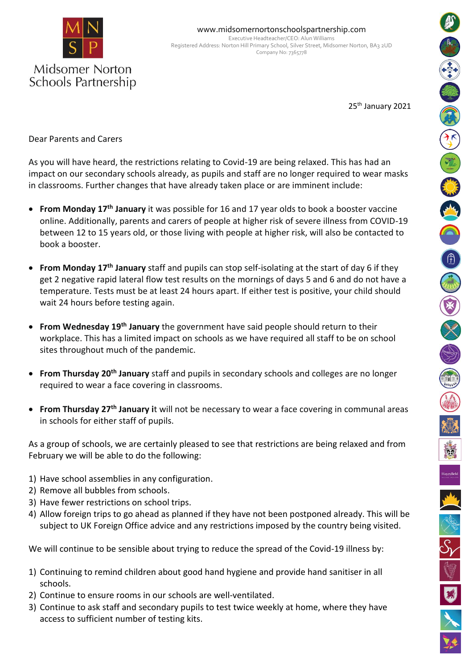

Schools Partnership

25<sup>th</sup> January 2021

Dear Parents and Carers

As you will have heard, the restrictions relating to Covid-19 are being relaxed. This has had an impact on our secondary schools already, as pupils and staff are no longer required to wear masks in classrooms. Further changes that have already taken place or are imminent include:

- **From Monday 17th January** it was possible for 16 and 17 year olds to book a booster vaccine online. Additionally, parents and carers of people at higher risk of severe illness from COVID-19 between 12 to 15 years old, or those living with people at higher risk, will also be contacted to book a booster.
- **From Monday 17<sup>th</sup> January** staff and pupils can stop self-isolating at the start of day 6 if they get 2 negative rapid lateral flow test results on the mornings of days 5 and 6 and do not have a temperature. Tests must be at least 24 hours apart. If either test is positive, your child should wait 24 hours before testing again.
- **From Wednesday 19th January** the government have said people should return to their workplace. This has a limited impact on schools as we have required all staff to be on school sites throughout much of the pandemic.
- **From Thursday 20th January** staff and pupils in secondary schools and colleges are no longer required to wear a face covering in classrooms.
- **From Thursday 27th January i**t will not be necessary to wear a face covering in communal areas in schools for either staff of pupils.

As a group of schools, we are certainly pleased to see that restrictions are being relaxed and from February we will be able to do the following:

- 1) Have school assemblies in any configuration.
- 2) Remove all bubbles from schools.
- 3) Have fewer restrictions on school trips.
- 4) Allow foreign trips to go ahead as planned if they have not been postponed already. This will be subject to UK Foreign Office advice and any restrictions imposed by the country being visited.

We will continue to be sensible about trying to reduce the spread of the Covid-19 illness by:

- 1) Continuing to remind children about good hand hygiene and provide hand sanitiser in all schools.
- 2) Continue to ensure rooms in our schools are well-ventilated.
- 3) Continue to ask staff and secondary pupils to test twice weekly at home, where they have access to sufficient number of testing kits.